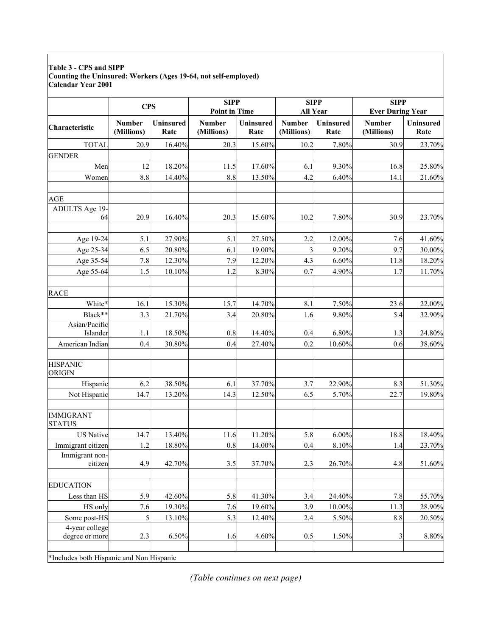## **Table 3 - CPS and SIPP Counting the Uninsured: Workers (Ages 19-64, not self-employed) Calendar Year 2001**

|                                          | <b>CPS</b>                  |                          | <b>SIPP</b><br><b>Point in Time</b> |                   | <b>SIPP</b><br>All Year     |                   | <b>SIPP</b><br><b>Ever During Year</b> |                          |
|------------------------------------------|-----------------------------|--------------------------|-------------------------------------|-------------------|-----------------------------|-------------------|----------------------------------------|--------------------------|
| Characteristic                           | <b>Number</b><br>(Millions) | <b>Uninsured</b><br>Rate | <b>Number</b><br>(Millions)         | Uninsured<br>Rate | <b>Number</b><br>(Millions) | Uninsured<br>Rate | <b>Number</b><br>(Millions)            | <b>Uninsured</b><br>Rate |
| <b>TOTAL</b>                             | 20.9                        | 16.40%                   | 20.3                                | 15.60%            | 10.2                        | 7.80%             | 30.9                                   | 23.70%                   |
| <b>GENDER</b>                            |                             |                          |                                     |                   |                             |                   |                                        |                          |
| Men                                      | 12                          | 18.20%                   | 11.5                                | 17.60%            | 6.1                         | 9.30%             | 16.8                                   | 25.80%                   |
| Women                                    | 8.8                         | 14.40%                   | 8.8                                 | 13.50%            | 4.2                         | 6.40%             | 14.1                                   | 21.60%                   |
| AGE                                      |                             |                          |                                     |                   |                             |                   |                                        |                          |
| ADULTS Age 19-<br>64                     | 20.9                        | 16.40%                   | 20.3                                | 15.60%            | 10.2                        | 7.80%             | 30.9                                   | 23.70%                   |
| Age 19-24                                | 5.1                         | 27.90%                   | 5.1                                 | 27.50%            | 2.2                         | 12.00%            | 7.6                                    | 41.60%                   |
| Age 25-34                                | 6.5                         | 20.80%                   | 6.1                                 | 19.00%            | 3                           | 9.20%             | 9.7                                    | 30.00%                   |
| Age 35-54                                | 7.8                         | 12.30%                   | 7.9                                 | 12.20%            | 4.3                         | 6.60%             | 11.8                                   | 18.20%                   |
| Age 55-64                                | 1.5                         | 10.10%                   | 1.2                                 | 8.30%             | 0.7                         | 4.90%             | 1.7                                    | 11.70%                   |
| <b>RACE</b>                              |                             |                          |                                     |                   |                             |                   |                                        |                          |
| White*                                   | 16.1                        | 15.30%                   | 15.7                                | 14.70%            | 8.1                         | 7.50%             | 23.6                                   | 22.00%                   |
| Black**                                  | 3.3                         | 21.70%                   | 3.4                                 | 20.80%            | 1.6                         | 9.80%             | 5.4                                    | 32.90%                   |
| Asian/Pacific                            |                             |                          |                                     |                   |                             |                   |                                        |                          |
| Islander                                 | 1.1                         | 18.50%                   | 0.8                                 | 14.40%            | 0.4                         | 6.80%             | 1.3                                    | 24.80%                   |
| American Indian                          | 0.4                         | 30.80%                   | 0.4                                 | 27.40%            | 0.2                         | 10.60%            | 0.6                                    | 38.60%                   |
| <b>HISPANIC</b><br>ORIGIN                |                             |                          |                                     |                   |                             |                   |                                        |                          |
| Hispanic                                 | 6.2                         | 38.50%                   | 6.1                                 | 37.70%            | 3.7                         | 22.90%            | 8.3                                    | 51.30%                   |
| Not Hispanic                             | 14.7                        | 13.20%                   | 14.3                                | 12.50%            | 6.5                         | 5.70%             | 22.7                                   | 19.80%                   |
| <b>IMMIGRANT</b><br><b>STATUS</b>        |                             |                          |                                     |                   |                             |                   |                                        |                          |
| <b>US Native</b>                         | 14.7                        | 13.40%                   | 11.6                                | 11.20%            | 5.8                         | 6.00%             | 18.8                                   | 18.40%                   |
| Immigrant citizen                        | 1.2                         | 18.80%                   | 0.8                                 | 14.00%            | 0.4                         | 8.10%             | 1.4                                    | 23.70%                   |
| Immigrant non-<br>citizen                | 4.9                         | 42.70%                   | 3.5                                 | 37.70%            | 2.3                         | 26.70%            | 4.8                                    | 51.60%                   |
| <b>EDUCATION</b>                         |                             |                          |                                     |                   |                             |                   |                                        |                          |
| Less than HS                             | 5.9                         | 42.60%                   | 5.8                                 | 41.30%            | 3.4                         | 24.40%            | 7.8                                    | 55.70%                   |
| HS only                                  | 7.6                         | 19.30%                   | 7.6                                 | 19.60%            | 3.9                         | 10.00%            | 11.3                                   | 28.90%                   |
| Some post-HS                             | 5                           | 13.10%                   | 5.3                                 | 12.40%            | 2.4                         | 5.50%             | 8.8                                    | 20.50%                   |
| 4-year college<br>degree or more         | 2.3                         | 6.50%                    | 1.6                                 | 4.60%             | 0.5                         | 1.50%             | 3                                      | $8.80\%$                 |
| *Includes both Hispanic and Non Hispanic |                             |                          |                                     |                   |                             |                   |                                        |                          |

\*Includes both Hispanic and Non Hispanic

*(Table continues on next page)*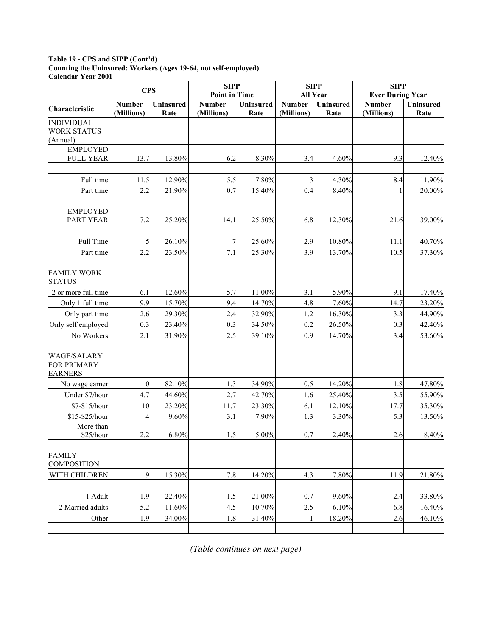## **Table 19 - CPS and SIPP (Cont'd) Counting the Uninsured: Workers (Ages 19-64, not self-employed)**

| <b>Calendar Year 2001</b>                                  |                             |                   |                                     |                          |                             |                   |                                        |                          |
|------------------------------------------------------------|-----------------------------|-------------------|-------------------------------------|--------------------------|-----------------------------|-------------------|----------------------------------------|--------------------------|
|                                                            | <b>CPS</b>                  |                   | <b>SIPP</b><br><b>Point in Time</b> |                          | <b>SIPP</b><br>All Year     |                   | <b>SIPP</b><br><b>Ever During Year</b> |                          |
| Characteristic                                             | <b>Number</b><br>(Millions) | Uninsured<br>Rate | <b>Number</b><br>(Millions)         | <b>Uninsured</b><br>Rate | <b>Number</b><br>(Millions) | Uninsured<br>Rate | <b>Number</b><br>(Millions)            | <b>Uninsured</b><br>Rate |
| <b>INDIVIDUAL</b>                                          |                             |                   |                                     |                          |                             |                   |                                        |                          |
| <b>WORK STATUS</b><br>(Annual)                             |                             |                   |                                     |                          |                             |                   |                                        |                          |
| <b>EMPLOYED</b><br><b>FULL YEAR</b>                        | 13.7                        | 13.80%            | 6.2                                 | 8.30%                    | 3.4                         | 4.60%             | 9.3                                    | 12.40%                   |
| Full time                                                  | 11.5                        | 12.90%            | 5.5                                 | 7.80%                    | 3                           | 4.30%             | 8.4                                    | 11.90%                   |
| Part time                                                  | 2.2                         | 21.90%            | 0.7                                 | 15.40%                   | 0.4                         | 8.40%             |                                        | 20.00%                   |
|                                                            |                             |                   |                                     |                          |                             |                   |                                        |                          |
| <b>EMPLOYED</b><br><b>PART YEAR</b>                        | 7.2                         | 25.20%            | 14.1                                | 25.50%                   | 6.8                         | 12.30%            | 21.6                                   | 39.00%                   |
| Full Time                                                  | 5                           | 26.10%            | 7                                   | 25.60%                   | 2.9                         | 10.80%            | 11.1                                   | 40.70%                   |
| Part time                                                  | 2.2                         | 23.50%            | 7.1                                 | 25.30%                   | 3.9                         | 13.70%            | 10.5                                   | 37.30%                   |
| <b>FAMILY WORK</b><br><b>STATUS</b>                        |                             |                   |                                     |                          |                             |                   |                                        |                          |
| 2 or more full time                                        | 6.1                         | 12.60%            | 5.7                                 | 11.00%                   | 3.1                         | 5.90%             | 9.1                                    | 17.40%                   |
| Only 1 full time                                           | 9.9                         | 15.70%            | 9.4                                 | 14.70%                   | 4.8                         | 7.60%             | 14.7                                   | 23.20%                   |
| Only part time                                             | 2.6                         | 29.30%            | 2.4                                 | 32.90%                   | 1.2                         | 16.30%            | 3.3                                    | 44.90%                   |
| Only self employed                                         | 0.3                         | 23.40%            | 0.3                                 | 34.50%                   | 0.2                         | 26.50%            | 0.3                                    | 42.40%                   |
| No Workers                                                 | 2.1                         | 31.90%            | 2.5                                 | 39.10%                   | 0.9                         | 14.70%            | 3.4                                    | 53.60%                   |
| <b>WAGE/SALARY</b><br><b>FOR PRIMARY</b><br><b>EARNERS</b> |                             |                   |                                     |                          |                             |                   |                                        |                          |
| No wage earner                                             | $\bf{0}$                    | 82.10%            | 1.3                                 | 34.90%                   | 0.5                         | 14.20%            | 1.8                                    | 47.80%                   |
| Under \$7/hour                                             | 4.7                         | 44.60%            | 2.7                                 | 42.70%                   | 1.6                         | 25.40%            | 3.5                                    | 55.90%                   |
| \$7-\$15/hour                                              | 10                          | 23.20%            | 11.7                                | 23.30%                   | 6.1                         | 12.10%            | 17.7                                   | 35.30%                   |
| \$15-\$25/hour                                             | 4                           | 9.60%             | 3.1                                 | 7.90%                    | 1.3                         | 3.30%             | 5.3                                    | 13.50%                   |
| More than<br>\$25/hour                                     | 2.2                         | 6.80%             | 1.5                                 | 5.00%                    | 0.7                         | 2.40%             | 2.6                                    | 8.40%                    |
| <b>FAMILY</b><br><b>COMPOSITION</b>                        |                             |                   |                                     |                          |                             |                   |                                        |                          |
| WITH CHILDREN                                              | 9                           | 15.30%            | 7.8                                 | 14.20%                   | 4.3                         | 7.80%             | 11.9                                   | 21.80%                   |
| 1 Adult                                                    | 1.9                         | 22.40%            | 1.5                                 | 21.00%                   | 0.7                         | 9.60%             | 2.4                                    | 33.80%                   |
| 2 Married adults                                           | 5.2                         | 11.60%            |                                     | 10.70%                   |                             | 6.10%             | 6.8                                    | 16.40%                   |
|                                                            | 1.9                         | 34.00%            | 4.5<br>1.8                          | 31.40%                   | 2.5<br>1                    | 18.20%            | 2.6                                    | 46.10%                   |
| Other                                                      |                             |                   |                                     |                          |                             |                   |                                        |                          |

*(Table continues on next page)*